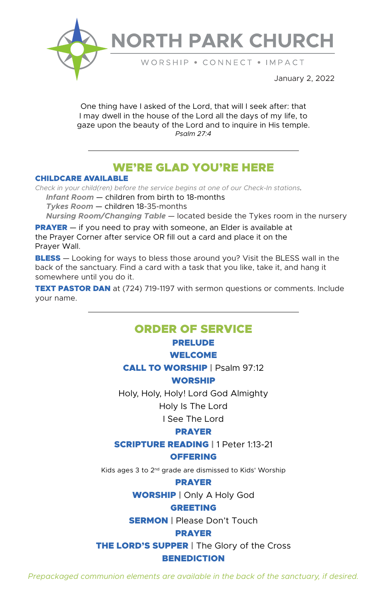

# **NORTH PARK CHURCH**

WORSHIP . CONNECT . IMPACT

January 2, 2022

One thing have I asked of the Lord, that will I seek after: that I may dwell in the house of the Lord all the days of my life, to gaze upon the beauty of the Lord and to inquire in His temple. *Psalm 27:4*

# WE'RE GLAD YOU'RE HERE

#### CHILDCARE AVAILABLE

*Check in your child(ren) before the service begins at one of our Check-In stations.*

 *Infant Room* — children from birth to 18-months  *Tykes Room* — children 18-35-months

 *Nursing Room/Changing Table* — located beside the Tykes room in the nursery

**PRAYER** – if you need to pray with someone, an Elder is available at the Prayer Corner after service OR fill out a card and place it on the Prayer Wall.

**BLESS** — Looking for ways to bless those around you? Visit the BLESS wall in the back of the sanctuary. Find a card with a task that you like, take it, and hang it somewhere until you do it.

**TEXT PASTOR DAN** at (724) 719-1197 with sermon questions or comments. Include your name.

# ORDER OF SERVICE

#### PRELUDE

#### WELCOME

CALL TO WORSHIP | Psalm 97:12

#### WORSHIP

Holy, Holy, Holy! Lord God Almighty

## Holy Is The Lord

I See The Lord

#### PRAYER

SCRIPTURE READING | 1 Peter 1:13-21

#### **OFFERING**

Kids ages 3 to 2nd grade are dismissed to Kids' Worship

#### PRAYER

WORSHIP | Only A Holy God

#### GREETING

**SERMON** | Please Don't Touch

#### PRAYER

**THE LORD'S SUPPER | The Glory of the Cross** 

#### **BENEDICTION**

*Prepackaged communion elements are available in the back of the sanctuary, if desired.*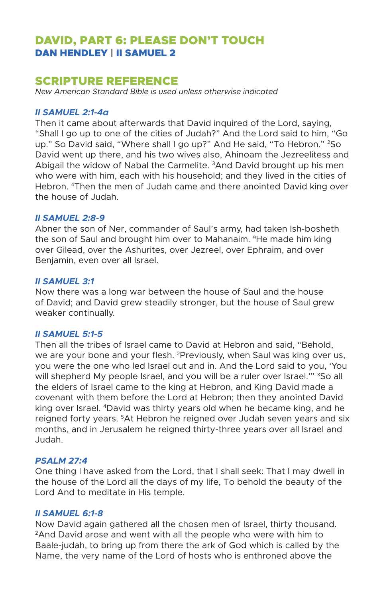## DAVID, PART 6: PLEASE DON'T TOUCH DAN HENDLEY | II SAMUEL 2

## SCRIPTURE REFERENCE

*New American Standard Bible is used unless otherwise indicated* 

#### *II SAMUEL 2:1-4a*

Then it came about afterwards that David inquired of the Lord, saying, "Shall I go up to one of the cities of Judah?" And the Lord said to him, "Go up." So David said, "Where shall I go up?" And He said, "To Hebron." <sup>2</sup>So David went up there, and his two wives also, Ahinoam the Jezreelitess and Abigail the widow of Nabal the Carmelite. 3And David brought up his men who were with him, each with his household; and they lived in the cities of Hebron. 4Then the men of Judah came and there anointed David king over the house of Judah.

#### *II SAMUEL 2:8-9*

Abner the son of Ner, commander of Saul's army, had taken Ish-bosheth the son of Saul and brought him over to Mahanaim. <sup>9</sup>He made him king over Gilead, over the Ashurites, over Jezreel, over Ephraim, and over Benjamin, even over all Israel.

#### *II SAMUEL 3:1*

Now there was a long war between the house of Saul and the house of David; and David grew steadily stronger, but the house of Saul grew weaker continually.

#### *II SAMUEL 5:1-5*

Then all the tribes of Israel came to David at Hebron and said, "Behold, we are your bone and your flesh. <sup>2</sup>Previously, when Saul was king over us, you were the one who led Israel out and in. And the Lord said to you, 'You will shepherd My people Israel, and you will be a ruler over Israel." <sup>3</sup>So all the elders of Israel came to the king at Hebron, and King David made a covenant with them before the Lord at Hebron; then they anointed David king over Israel. 4David was thirty years old when he became king, and he reigned forty years. 5At Hebron he reigned over Judah seven years and six months, and in Jerusalem he reigned thirty-three years over all Israel and Judah.

#### *PSALM 27:4*

One thing I have asked from the Lord, that I shall seek: That I may dwell in the house of the Lord all the days of my life, To behold the beauty of the Lord And to meditate in His temple.

#### *II SAMUEL 6:1-8*

Now David again gathered all the chosen men of Israel, thirty thousand. 2And David arose and went with all the people who were with him to Baale-judah, to bring up from there the ark of God which is called by the Name, the very name of the Lord of hosts who is enthroned above the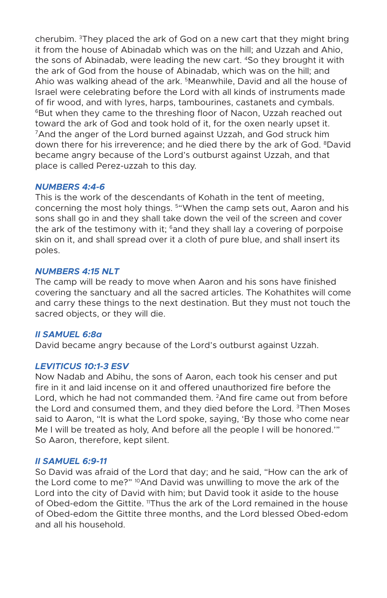cherubim. 3They placed the ark of God on a new cart that they might bring it from the house of Abinadab which was on the hill; and Uzzah and Ahio, the sons of Abinadab, were leading the new cart. 4So they brought it with the ark of God from the house of Abinadab, which was on the hill; and Ahio was walking ahead of the ark. 5Meanwhile, David and all the house of Israel were celebrating before the Lord with all kinds of instruments made of fir wood, and with lyres, harps, tambourines, castanets and cymbals. 6But when they came to the threshing floor of Nacon, Uzzah reached out toward the ark of God and took hold of it, for the oxen nearly upset it. <sup>7</sup> And the anger of the Lord burned against Uzzah, and God struck him down there for his irreverence; and he died there by the ark of God. <sup>8</sup>David became angry because of the Lord's outburst against Uzzah, and that place is called Perez-uzzah to this day.

#### *NUMBERS 4:4-6*

This is the work of the descendants of Kohath in the tent of meeting, concerning the most holy things. 5"When the camp sets out, Aaron and his sons shall go in and they shall take down the veil of the screen and cover the ark of the testimony with it;  $6$  and they shall lay a covering of porpoise skin on it, and shall spread over it a cloth of pure blue, and shall insert its poles.

#### *NUMBERS 4:15 NLT*

The camp will be ready to move when Aaron and his sons have finished covering the sanctuary and all the sacred articles. The Kohathites will come and carry these things to the next destination. But they must not touch the sacred objects, or they will die.

#### *II SAMUEL 6:8a*

David became angry because of the Lord's outburst against Uzzah.

#### *LEVITICUS 10:1-3 ESV*

Now Nadab and Abihu, the sons of Aaron, each took his censer and put fire in it and laid incense on it and offered unauthorized fire before the Lord, which he had not commanded them. <sup>2</sup>And fire came out from before the Lord and consumed them, and they died before the Lord. <sup>3</sup>Then Moses said to Aaron, "It is what the Lord spoke, saying, 'By those who come near Me I will be treated as holy, And before all the people I will be honored.'" So Aaron, therefore, kept silent.

#### *II SAMUEL 6:9-11*

So David was afraid of the Lord that day; and he said, "How can the ark of the Lord come to me?" <sup>10</sup>And David was unwilling to move the ark of the Lord into the city of David with him; but David took it aside to the house of Obed-edom the Gittite. <sup>11</sup>Thus the ark of the Lord remained in the house of Obed-edom the Gittite three months, and the Lord blessed Obed-edom and all his household.